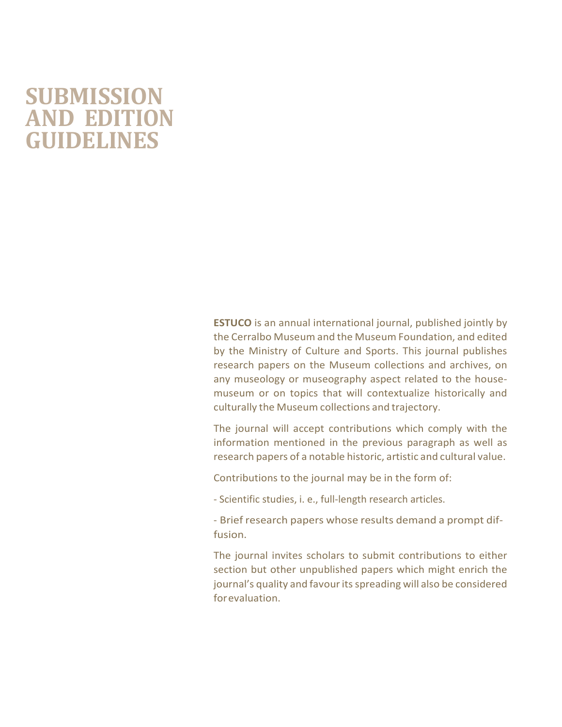## **SUBMISSION AND EDITION GUIDELINES**

**ESTUCO** is an annual international journal, published jointly by the Cerralbo Museum and the Museum Foundation, and edited by the Ministry of Culture and Sports. This journal publishes research papers on the Museum collections and archives, on any museology or museography aspect related to the housemuseum or on topics that will contextualize historically and culturally the Museum collections and trajectory.

The journal will accept contributions which comply with the information mentioned in the previous paragraph as well as research papers of a notable historic, artistic and cultural value.

Contributions to the journal may be in the form of:

- Scientific studies, i. e., full-length research articles.

- Brief research papers whose results demand a prompt diffusion.

The journal invites scholars to submit contributions to either section but other unpublished papers which might enrich the journal's quality and favour its spreading will also be considered forevaluation.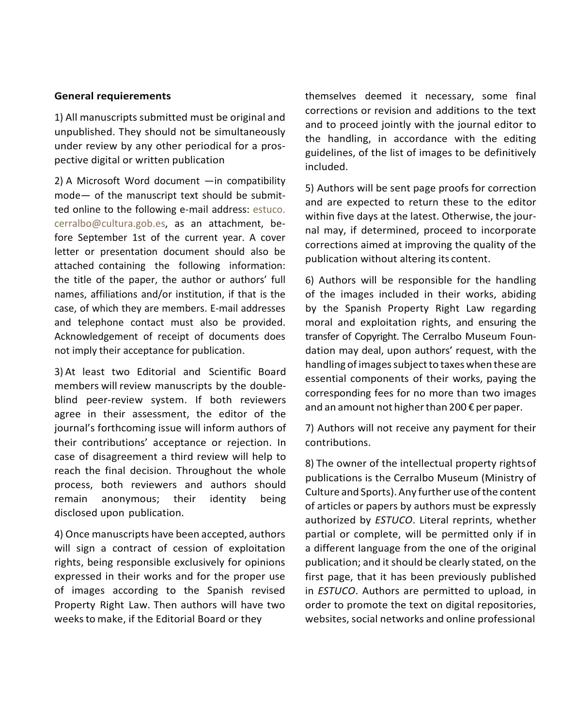## **General requierements**

1) All manuscripts submitted must be original and unpublished. They should not be simultaneously under review by any other periodical for a prospective digital or written publication

2) A Microsoft Word document —in compatibility mode— of the manuscript text should be submitted online to the following e-mail address: estuco. [cerralbo@cultura.gob.es,](mailto:cerralbo@cultura.gob.es) as an attachment, before September 1st of the current year. A cover letter or presentation document should also be attached containing the following information: the title of the paper, the author or authors' full names, affiliations and/or institution, if that is the case, of which they are members. E-mail addresses and telephone contact must also be provided. Acknowledgement of receipt of documents does not imply their acceptance for publication.

3) At least two Editorial and Scientific Board members will review manuscripts by the doubleblind peer-review system. If both reviewers agree in their assessment, the editor of the journal's forthcoming issue will inform authors of their contributions' acceptance or rejection. In case of disagreement a third review will help to reach the final decision. Throughout the whole process, both reviewers and authors should remain anonymous; their identity being disclosed upon publication.

4) Once manuscripts have been accepted, authors will sign a contract of cession of exploitation rights, being responsible exclusively for opinions expressed in their works and for the proper use of images according to the Spanish revised Property Right Law. Then authors will have two weeksto make, if the Editorial Board or they

themselves deemed it necessary, some final corrections or revision and additions to the text and to proceed jointly with the journal editor to the handling, in accordance with the editing guidelines, of the list of images to be definitively included.

5) Authors will be sent page proofs for correction and are expected to return these to the editor within five days at the latest. Otherwise, the journal may, if determined, proceed to incorporate corrections aimed at improving the quality of the publication without altering its content.

6) Authors will be responsible for the handling of the images included in their works, abiding by the Spanish Property Right Law regarding moral and exploitation rights, and ensuring the transfer of Copyright. The Cerralbo Museum Foundation may deal, upon authors' request, with the handling of images subject to taxes when these are essential components of their works, paying the corresponding fees for no more than two images and an amount not higher than 200  $\epsilon$  per paper.

7) Authors will not receive any payment for their contributions.

8) The owner of the intellectual property rightsof publications is the Cerralbo Museum (Ministry of Culture and Sports).Any further use ofthe content of articles or papers by authors must be expressly authorized by *ESTUCO*. Literal reprints, whether partial or complete, will be permitted only if in a different language from the one of the original publication; and it should be clearly stated, on the first page, that it has been previously published in *ESTUCO*. Authors are permitted to upload, in order to promote the text on digital repositories, websites, social networks and online professional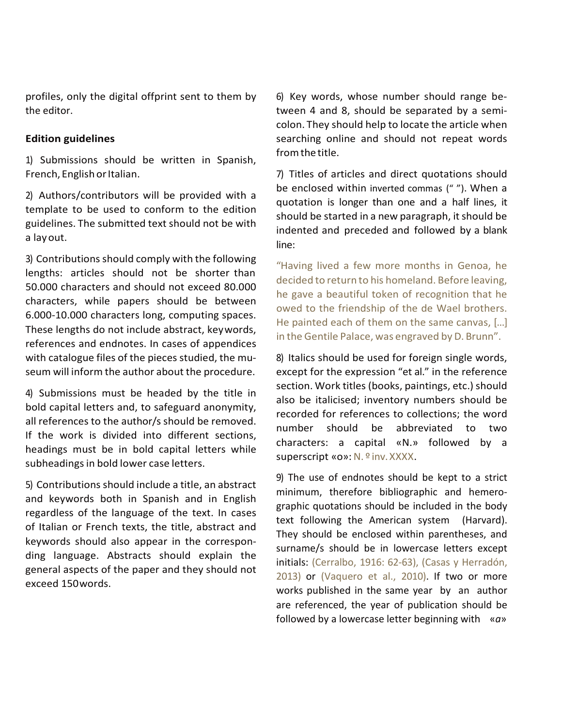profiles, only the digital offprint sent to them by the editor.

## **Edition guidelines**

1) Submissions should be written in Spanish, French, English or Italian.

2) Authors/contributors will be provided with a template to be used to conform to the edition guidelines. The submitted text should not be with a layout.

3) Contributions should comply with the following lengths: articles should not be shorter than 50.000 characters and should not exceed 80.000 characters, while papers should be between 6.000-10.000 characters long, computing spaces. These lengths do not include abstract, keywords, references and endnotes. In cases of appendices with catalogue files of the pieces studied, the museum will inform the author about the procedure.

4) Submissions must be headed by the title in bold capital letters and, to safeguard anonymity, all references to the author/s should be removed. If the work is divided into different sections, headings must be in bold capital letters while subheadings in bold lower case letters.

5) Contributions should include a title, an abstract and keywords both in Spanish and in English regardless of the language of the text. In cases of Italian or French texts, the title, abstract and keywords should also appear in the corresponding language. Abstracts should explain the general aspects of the paper and they should not exceed 150words.

6) Key words, whose number should range between 4 and 8, should be separated by a semicolon. They should help to locate the article when searching online and should not repeat words fromthe title.

7) Titles of articles and direct quotations should be enclosed within inverted commas (" "). When a quotation is longer than one and a half lines, it should be started in a new paragraph, it should be indented and preceded and followed by a blank line:

"Having lived a few more months in Genoa, he decided to return to his homeland. Before leaving, he gave a beautiful token of recognition that he owed to the friendship of the de Wael brothers. He painted each of them on the same canvas, […] in the Gentile Palace, was engraved by D. Brunn".

8) Italics should be used for foreign single words, except for the expression "et al." in the reference section. Work titles (books, paintings, etc.) should also be italicised; inventory numbers should be recorded for references to collections; the word number should be abbreviated to two characters: a capital «N.» followed by a superscript «o»: N. º inv. XXXX.

9) The use of endnotes should be kept to a strict minimum, therefore bibliographic and hemerographic quotations should be included in the body text following the American system (Harvard). They should be enclosed within parentheses, and surname/s should be in lowercase letters except initials: (Cerralbo, 1916: 62-63), (Casas y Herradón, 2013) or (Vaquero et al., 2010). If two or more works published in the same year by an author are referenced, the year of publication should be followed by a lowercase letter beginning with «*a*»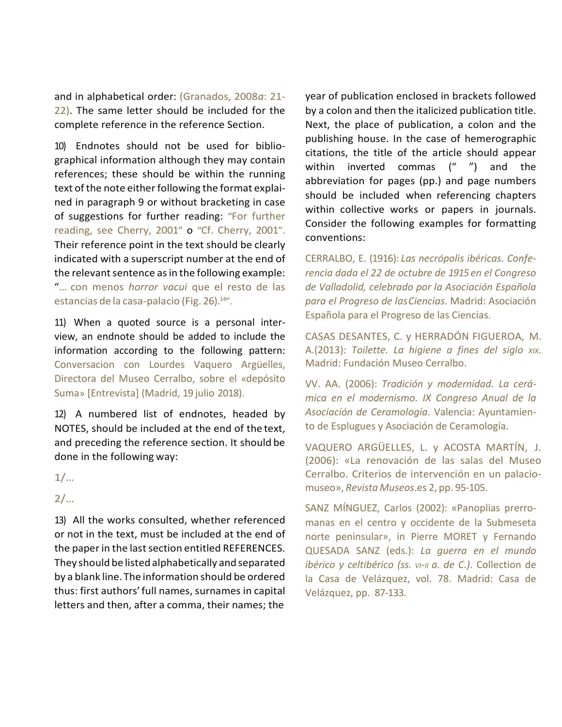and in alphabetical order: (Granados, 2008*a*: 21- 22). The same letter should be included for the complete reference in the reference Section.

10) Endnotes should not be used for bibliographical information although they may contain references; these should be within the running text of the note either following the format explained in paragraph 9 or without bracketing in case of suggestions for further reading: "For further reading, see Cherry, 2001" o "Cf. Cherry, 2001". Their reference point in the text should be clearly indicated with a superscript number at the end of the relevant sentence as in the following example: "… con menos *horror vacui* que el resto de las estancias de la casa-palacio (Fig. 26).<sup>14"</sup>.

11) When a quoted source is a personal interview, an endnote should be added to include the information according to the following pattern: Conversacion con Lourdes Vaquero Argüelles, Directora del Museo Cerralbo, sobre el «depósito Suma» [Entrevista] (Madrid, 19 julio 2018).

12) A numbered list of endnotes, headed by NOTES, should be included at the end of the text, and preceding the reference section. It should be done in the following way:

1/…

2/…

13) All the works consulted, whether referenced or not in the text, must be included at the end of the paper in the last section entitled REFERENCES. They should be listedalphabetically and separated by a blank line. The information should be ordered thus: first authors' full names, surnames in capital letters and then, after a comma, their names; the

year of publication enclosed in brackets followed by a colon and then the italicized publication title. Next, the place of publication, a colon and the publishing house. In the case of hemerographic citations, the title of the article should appear within inverted commas (" ") and the abbreviation for pages (pp.) and page numbers should be included when referencing chapters within collective works or papers in journals. Consider the following examples for formatting conventions:

CERRALBO, E. (1916): *Las necrópolis ibéricas. Conferencia dada el 22 de octubre de 1915 en el Congreso de Valladolid, celebrado por la Asociación Española para el Progreso de lasCiencias*. Madrid: Asociación Española para el Progreso de las Ciencias.

CASAS DESANTES, C. y HERRADÓN FIGUEROA, M. A.(2013): *Toilette. La higiene a fines del siglo XIX*. Madrid: Fundación Museo Cerralbo.

VV. AA. (2006): *Tradición y modernidad. La cerámica en el modernismo. IX Congreso Anual de la Asociación de Ceramología*. Valencia: Ayuntamiento de Esplugues y Asociación de Ceramología.

VAQUERO ARGÜELLES, L. y ACOSTA MARTÍN, J. (2006): «La renovación de las salas del Museo Cerralbo. Criterios de intervención en un palaciomuseo», *Revista Museos*.es 2, pp. 95-105.

SANZ MÍNGUEZ, Carlos (2002): «Panoplias prerromanas en el centro y occidente de la Submeseta norte peninsular», in Pierre MORET y Fernando QUESADA SANZ (eds.): *La guerra en el mundo ibérico y celtibérico (ss. VI-II a. de C.)*. Collection de la Casa de Velázquez, vol. 78. Madrid: Casa de Velázquez, pp. 87-133.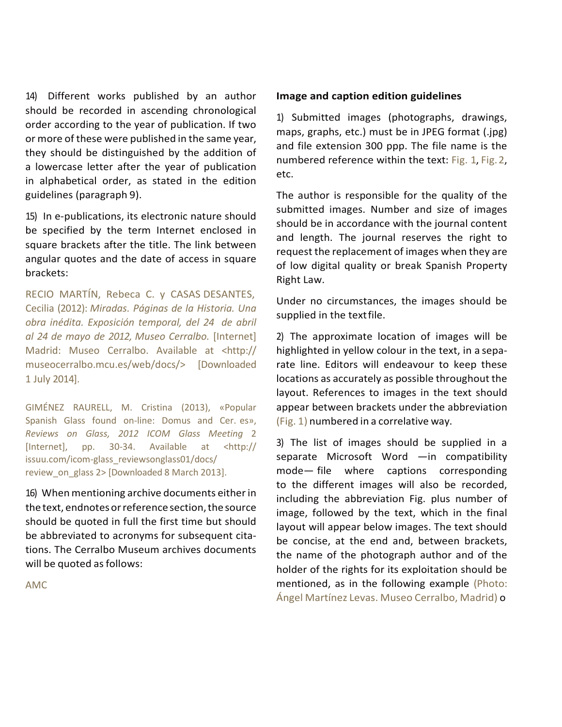14) Different works published by an author should be recorded in ascending chronological order according to the year of publication. If two or more of these were published in the same year, they should be distinguished by the addition of a lowercase letter after the year of publication in alphabetical order, as stated in the edition guidelines (paragraph 9).

15) In e-publications, its electronic nature should be specified by the term Internet enclosed in square brackets after the title. The link between angular quotes and the date of access in square brackets:

RECIO MARTÍN, Rebeca C. y CASAS DESANTES, Cecilia (2012): *Miradas. Páginas de la Historia. Una obra inédita. Exposición temporal, del 24 de abril al 24 de mayo de 2012, Museo Cerralbo.* [Internet] Madrid: Museo Cerralbo. Available at <http:// museocerralbo.mcu.es/web/docs/> [Downloaded 1 July 2014].

GIMÉNEZ RAURELL, M. Cristina (2013), «Popular Spanish Glass found on-line: Domus and Cer. es», *Reviews on Glass, 2012 ICOM Glass Meeting* 2 [Internet], pp. 30-34. Available at <http:// issuu.com/icom-glass\_reviewsonglass01/docs/ review\_on\_glass 2> [Downloaded 8 March 2013].

16) When mentioning archive documents either in the text, endnotes or reference section, the source should be quoted in full the first time but should be abbreviated to acronyms for subsequent citations. The Cerralbo Museum archives documents will be quoted as follows:

AMC

## **Image and caption edition guidelines**

1) Submitted images (photographs, drawings, maps, graphs, etc.) must be in JPEG format (.jpg) and file extension 300 ppp. The file name is the numbered reference within the text: Fig. 1, Fig. 2, etc.

The author is responsible for the quality of the submitted images. Number and size of images should be in accordance with the journal content and length. The journal reserves the right to request the replacement of images when they are of low digital quality or break Spanish Property Right Law.

Under no circumstances, the images should be supplied in the textfile.

2) The approximate location of images will be highlighted in yellow colour in the text, in a separate line. Editors will endeavour to keep these locations as accurately as possible throughout the layout. References to images in the text should appear between brackets under the abbreviation (Fig. 1) numbered in a correlative way.

3) The list of images should be supplied in a separate Microsoft Word —in compatibility mode— file where captions corresponding to the different images will also be recorded, including the abbreviation Fig. plus number of image, followed by the text, which in the final layout will appear below images. The text should be concise, at the end and, between brackets, the name of the photograph author and of the holder of the rights for its exploitation should be mentioned, as in the following example (Photo: Ángel Martínez Levas. Museo Cerralbo, Madrid) o